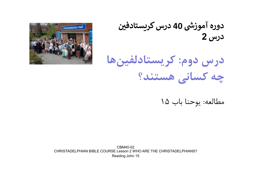دوره آموزشی 40 درس کریستادفین درس 2





مطالعه: يوحنا باب ١٥

CBM40-02 CHRISTADELPHIAN BIBLE COURSE Lesson 2 WHO ARE THE CHRISTADELPHIANS? Reading John 15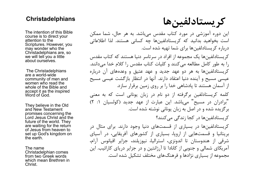## **Christadelphians**

The intention of this Bible course is to direct your attention to the Scriptures. However, you may wonder who the Christadelphians are, so we will tell you a little about ourselves.

The Christadelphians are a world-wide community of men and women who read the whole of the Bible and accept it as the inspired Word of God.

They believe in the Old and New Testament promises concerning the Lord Jesus Christ and the future of the world. They are waiting for the return of Jesus from heaven to set up God's kingdom on the earth.

The name Christadelphian comes from two Greek words which mean Brethren in Christ.

كريستادلفين ها

اين دوره آموزشي در مورد كتاب مقدس مي باشد. به هر حال، شما ممكن است بخواهید بدانید که کریستادلفینها چه کسانی هستند. لذا اطلاعاتی<br>درباره کریستادلفینها برای شما تهیه شده است.

كريستادلفين ها يك مجموعه از افراد در سرتاسر دنيا هستند كه كتاب مقدس را به طور كامل مطالعه مي كنند و كليات كتاب مقدس را كلام خدا مي دانند. كريستادلفين ها به هر دو عهد جديد و عهد عتيق و وعده هاي آن درباره عيسي مسيح و آينده دنيا اعتقاد دارند. آنها در انتظار بازگشت عيسي مسيح از آسمان هستند تا پادشاهي خدا را بر روي زمين برقرار سازد.

كلمه كريستادلفين برگرفته از دو نام درزبان يوناني است كه به معني " مي باشد. اين عبارت از عهد جديد (كولسيان :١ ٢) "برادران در مسيح برگزيده شده و در اصل به زبان يوناني نوشته شده است.

كريستادلفين ها در كجا زندگي مي كنند؟

كريستادلفين ها در بسياري از قسمت هاي دنيا وجود دارند. براي مثال در بريتانيا و قسمت هايي از اروپا، بسياري از كشورهاي آفريقايي، در آسياي شرقي از هندوستان تا اندونزي، استراليا، نيوزيلند، جزاير اقيانوس آرام، آمريكاي شمالي و جنوبي از كانادا تا آرژانتين و در جزاير درياي كارائيب. اين مجموعه از بسياري نژادها و فرهنگ هاي مختلف تشكيل شده است.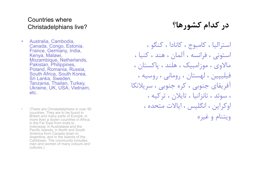# Countries where Christadelphians live?

- **Countries where<br>Christadelphians live?<br>• Australia, Cambodia,<br>Canada, Congo, Estonia,<br>France, Germany, India,<br>Kenya, Malawi,<br>Mozambique, Netherlands,** Canada, Congo, Estonia, France, Germany, India, Kenya, Malawi, Mozambique, Netherlands, Pakistan, Philippines, Poland, Romania, Russia, South Africa, South Korea, Sri Lanka, Sweden, Tanzania, Thailan, Turkey, Ukraine, UK, USA, Vietnam, etc. • Australia, Cambodia,<br>
Canada, Congo, Estonia,<br>
France, Germany, India,<br>
Kenya, Malawi,<br>
Mozambique, Netherlands,<br>
Pakistan, Philippines,<br>
Poland, Romania, Russia,<br>
South Africa, South Korea,<br>
Sri Lanka, Sweden,<br>
Tanzania
- countries. They are to be found in Britain and many parts of Europe; in more than a dozen countries in Africa; in the Far East from India to Indonesia; in Australasia and the Pacific Islands; in North and South America from Canada down to Argentina, and in the islands of the Caribbean. The community includes men and women of many colours and cultures.)

# در كدام كشورها؟

استراليا ، كامبوج ، كانادا ، كنگو ، استوني ، فرانسه ، آلمان ، هند ، كنيا ، مالاوي ، موزامبيك ، هلند ، پاكستان ، فيليپين ، لهستان ، روماني ، روسيه ، آفريقاي جنوبي ، كره جنوبي ، سريلانكا ، سوئد ، تانزانيا ، تايلان ، تركيه ، اوكراين ، انگليس ، ايالات متحده ، ويتنام و غيره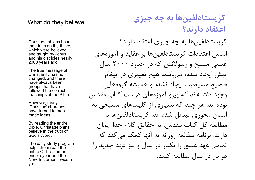Christadelphians base their faith on the things which were believed and taught by Jesus and his disciples nearly 2000 years ago.

The true message of Christianity has not changed, and there have always been groups that have followed the correct teachings of the Bible.

However, many 'Christian' churches have turned to manmade ideas.

By reading the entire Bible, Christadelphins believe in the truth of God's Word.

The daily study program helps them read the entire Old Testament once a year and the New Testament twice a year.

كريستادلفين ها به چه چيزي اعتقاد دارند؟ اساس اعتقادات كريستادلفين ها بر عقايد و آموزه هاي عيسي مسيح و رسولانش كه در حدود ٢٠٠٠ سال پيش ايجاد شده، مي باشد. هيچ تغييري در پيغام صحيح مسيحيت ايجاد نشده و هميشه گروه هايي وجود داشتهاند كه پيرو آموزههاي درست كتاب مقدس بوده اند. هر چند كه بسياري از كليساهاي مسيحي به انسان محوري تبديل شده اند. كريستادلفين ها با مطالعه كل كتاب مقدس، به حقايق كلام خدا ايمان دارند. برنامه مطالعه روزانه به آنها كمك مي كند كه تمامي عهد عتيق را يكبار در سال و نيز عهد جديد را دو بار در سال مطالعه كنند. كريستادلفين ها به چه چيزي believe they believe اعتقاد دارند؟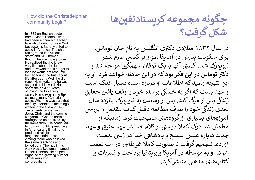### How did the Christadelphian community begin?

In 1832 an English doctor<br>named John Thomas, who had been a church preacher, took ship bound for New York because his father wanted to settle in America. The ship ran aground in a violent storm and Dr. Thomas thought he was going to die. He realised that he knew very little about the future, and he vowed that if he got to land he would not rest until he had found the truth about life after death. Well, he did reach New York, and he was as good as his word. He spent the next 15 years studying the Bible very carefully and examining the claims of many "Christian" sects. When he was sure that he fully understood the things written in the Old and New Testaments concerning Jesus Christ and the coming kingdom of God on earth he arranged to be baptized, by full immersion. He continued to do much public preaching in America and Britain and produced religious magazines and books. Among those who believed the same teachings and joined John Thomas in his work was a Scotsman named Robert Roberts. He helped to organise the growing number of followers into congregations

چگونه مجموعه کریستادلفینها شكل گرفت؟

در سال ۱۸۳۲ میلادی دکتری انگلیسی به نام جان توماس، برای سکونت پدرش در آمریکا سوار بر کشتی عازم شهر نیوبورک شد. کشتی آنها با یک توفان سهمگین مواجه شد و .<br>خواهد هُ .<br>دکتر توماس در این فکر بود که در این حادثه خواهد مُرد. او به این نتیجه رسید که اطلاعات او دریاره آینده بسیار اندک است و عهد بست که اگر به خشکی برسد، خود را وقف یافتن حقایق زندگی پس از مرگ کند. پس از رسیدن به نیویورک پانزده سالِ  $\mathcal{L}$ ربندی پس از مرت حمد. پس از رسیدن به نیویورت پاترده سانِ<br>بعدی زندگی خود را صرف مطالعه دقیق کتاب مقدس و بررسی آموزههای بسیاری از گروههای مسیحیت کرد. زمانیکه او مطمئن شد درک کاملا درستی از کلام خدا در عهد عتیق و عهد جدید درباره عیسی مسیح و پادشاهیٰ خدا در زمین بدست آورده، تصميم گرفت تا بصورت كاملا غوطهور در آب تعميد شود. او به موعظه در آمریکا و بریتانیا پرداخت و نشریات و کتابهای مذهبی منتشر کرد.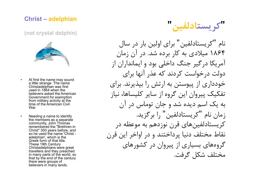## Christ – adelphian

(not crystal dolphin)



- a little strange The name Christadelphian was first used in 1864 when the believers asked the American Government for exemption from military activity at the time of the American Civil War.
- the members as a separate community, John Thomas remembered the "Brethren in Christ" 300 years before, and so he used the name 'Christ adelphian', which is the Greek form of that title. These 19th Century Christadelphians were great travellers and they preached in many parts of the world, so that by the end of the century there were groups of believers in many lands.

كريستادلفبن

مال<br>International delphian<br>international delphin<br>internation<br>a little strange The name<br>a little strange The name<br>Christadelphian was first<br>used in 1864 when the<br>believers asked the American<br>givers asked the American<br>giver لمال<br>• At first the name may sound<br>• a little strange The name<br>• a little strange The name<br>• Christadelphian was first<br>• used in 1864 when the<br>• used in 1864 when the<br>• Government for exemption<br>• Government for exemption<br> نام "كريستادلفين" براي اولين بار در سال ١٨٦٤ ميلادي به كار برده شد. در آن زمان آمريكا درگير جنگ داخلي بود و ايمانداران از دولت درخواست كردند كه عذر آنها براي خودداري از پيوستن به ارتش را بپذيرند. براي تفكيك پيروان اين گروه از ساير كليساها، نياز به یک اسم دیده شد و جان توماس در آن<br>زمان نام "کریستادلفین" را برگزید. كريستادلفين هاي قرن نوزدهم به موعظه در نقاط مختلف دنيا پرداختند و در اواخر اين قرن گروه هاي بسياري از پيروان در كشورهاي مختلف شكل گرفت.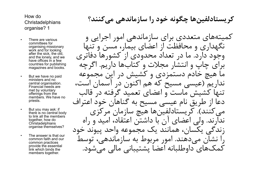### How do **Christadelphians** organise? 1

- committees for organising missionary work and for looking after the sick, the old, and the lonely, and we have offices in a few countries for publishing magazines and books.
- ministers and no central organisation. Financial needs are met by voluntary offerings from the members. We have no priests.
- there is no central body to link all the members together, how do **Christadelphians** organise themselves?
- common faith and our common practices provide the essential link which binds the members together.

كريستادلفين ها چگونه خود را سازماندهي مي كنند؟

با هی می کنند؟<br>• Christadelphians<br>• There are various<br>• There are various<br>• Christadelphians<br>• Christadelphians<br>• Christadelphians<br>• Christadelphians<br>• Christadelphians » Christadelphians and the lonely, and we<br>باز کشورها thow do<br>
Christadelphians<br>
organise? 1<br>
organise? 1<br>
organising missionary<br>
organising missionary<br>
organising missionary<br>
work and for looking<br>
after the sick, the old,<br>
and the lonky, and we<br>
any counting for a series of • There are various for committees for organisionary<br>
• organisionary work and for looking<br>
• after the sick, the old,<br>
• after the sick, the old,<br>
• and the loney, and we<br>
have offices in a few<br>
• countries for publishin • The answer offices in a few countries for publishing<br>
• The answer offices in a few countries for publishing<br>
• The magazines and books.<br>
• The ministers and no and<br>
• The ancial needs are<br>
• The privolulary only of the كميته هاي متعددي براي سازماندهي امور اجرايي و نگهداري و محافظت از اعضاي بيمار، مسن و تنها وجود دارد. ما در تعداد محدودي از كشورها دفاتري براي چاپ و انتشار مجلات و كتاب ها داريم. اگرچه ما هيچ خادم دستمزدي و كشيش در اين مجموعه نداريم (عيسي مسيح كه هم اكنون در آسمان است، تنها كشيش ماست و اعضاي تعميد گرفته در قالب دعا از طريق نام عيسي مسيح به گناهان خود اعتراف مي كنند). كريستادلفين ها هيچ سازمان مركزي ندارند. ولي اعضاي آن با داشتن اعتقاد، اميد و راه زندگي يكسان، همانند يك مجموعه واحد پيوند خود را نشان مي دهند. امور مربوط به سازماندهي، توسط كمك هاي داوطلبانه اعضا پشتيباني مالي مي شود.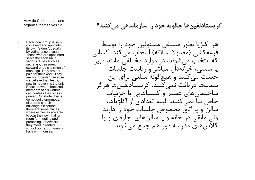كريستادلفين ها چگونه خود را سازماندهي مي كنند؟ 2 ?organise themselves

• Each local group is selfcontained and appoints its own "elders", usually by voting once a year. Those who are appointed serve the ecclesia in various duties such as secretary, treasurer, steward or as chairmen of meetings. They are not paid for their work. They are not "priests", because we believe that Jesus, now in heaven, is the only members of his Church can confess their sins in prayer. Christadelphians do not build enormous, elaborate church buildings. Of course, there are some places where ecclesias are able to own their own hall or room for meeting and preaching. Elsewhere they meet in rented schoolrooms, community halls or in houses.

ow do Christadelphians<br>ganise themselves? 2<br>ganise themselves? 2<br>changing mean appoints<br>is own "elders", usually<br>proting once a year.<br>Those who are appointed<br>any voting once a regnorited<br>various duties such as<br>secretary, . How do Christadelphians هر اكلژيا بطور مستقل مسئولين خود را توسط قرعه كشي (معمولا سالانه) انتخاب مي كند. كساني كه انتخاب مي شوند، در موارد مختلفي مانند دبير يا منشي، خزانه دار، مباشر و رياست جلسات خدمت مي كنند و هيچ گونه مبلغي براي اين سمت ها دريافت نمي كنند. كريستادلفين ها هرگز ساختمان هاي عظيم و كليساهايي با جزئيات خاص بنا نمي كنند. البته تعدادي از اكلژيا ها، سالن و يا اتاق مخصوص جلسات خود را دارند ولي مابقي در خانه و يا سالن هاي اجاره اي و يا كلاس هاي مدرسه دور هم جمع مي شوند.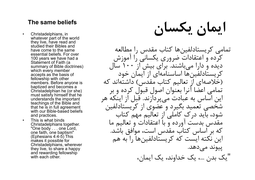- **The same beliefs**<br>• Christadelphians, in<br>whatever part of the world<br>they live, have read and<br>studied their Bibles and<br>have come to the same<br>مطالعه مصدر الله عليه whatever part of the world they live, have read and studied their Bibles and have come to the same essential beliefs. For over 100 years we have had a Statement of Faith (a summary of Bible doctrines) which every member accepts as the basis of fellowship with other members. Before anyone is baptized and becomes a Christadelphian he (or she) must satisfy himself that he understands the important teachings of the Bible and that he is in full agreement with our Bible-based beliefs and practices. they mean the read and have come to the same<br>• studied their Bibles and<br>• sesential beliefs. For over<br>• This is a steament of Faith (a<br>• Statement of Faith (a<br>• summary of Bible doctrines)<br>• which every member<br>• accepts
- Christadelphians together. "One body . . . one Lord, one faith, one baptism" (Ephesians 4:4-5) This makes it possible for Christadelphians, wherever they live, to share a happy and rewarding fellowship with each other.

The same beliefs يكسان ايمان

تمامی كریستادلفینها كتاب مقدس را مطالعه<br>كرده و اعتقادات ضروري يكساني را آموزش ديده و دارا مي باشند. براي بيش از ١٠٠ سال كريستادلفين ها اساسنامه اي از ايمان خود (خلاصهای از تعالیم كتاب مقدس) داشتهاند كه تمامي اعضا آنرا بعنوان اصول قبول كرده و بر اين اساس به عبادت مي پردازند. قبل از اينكه هر شخصي تعميد بگيرد و عضوي از كريستادلفين شود، بايد درك كاملي از تعاليم مهم كتاب مقدس بدست آورده و با اعتقادات و تعاليم ما كه بر اساس كتاب مقدس است، موافق باشد. اين نكته ايست كه كريستادلفينها را به هم<br>پيوند مي دهد. "يك بدن ،... يك خداوند، يك ايمان،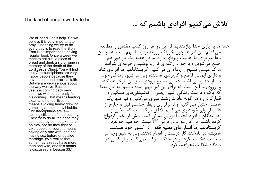### The kind of people we try to be

The kind of people we try to be<br>• We all need God's help. So we<br>believe it is very important to<br>pray. One thing we try to do<br>• every day is to read the Bible.<br>That is as important as having<br>regular food. Once a week we believe it is very important to pray. One thing we try to do every day is to read the Bible. That is as important as having regular food. Once a week we meet to eat a little piece of bread and drink a sip of wine in memory of the death of the Lord Jesus Christ. You will find that Christadelphians are very happy people because they have a sure and practical faith. But we are very serious about the way we live. Because Jesus is coming back very soon we wish to be ready for his coming. That means leading clean and honest lives. It means avoiding heavy drinking, gambling and other evil habits. Christadelphians are lawabiding citizens of their country. They try to do all the good they can, but they do not take part in politics, nor do they fight or take people to court. It means having only one wife, and not having sex before or outside marriage. (We realise that some may already have more than one wife, and this matter is discussed in Lesson 33.)

تلاش مي كنيم افرادي باشيم كه ...

همه ما به ياري خدا نيازمنديم. از اين رو هر روز كتاب مقدس را مطالعه مي كنيم. اين امر همچون خوراك روزانه براي ما مهم است. همچنين دعا نيز براي ما اهميت ويژه اي دارد. ما در هفته يك بار دور هم جمع مي شويم و با خوردن تكه اي نان و نوشيدن جرعه اي شراب، مرگ عيسي مسيح را يادآوري مي كنيم. كريستادلفين ها افرادي شاد و داراي ايماني قاطع و كاربردي هستند، ولي در شيوه زندگي خود بسيار جدي مي باشند. عيسي مسيح بزودي به زمين باز خواهد گشت و آرزوي ما اين است كه براي اين امر مهم آماده باشيم. به اين معنا كه پاك و درست زندگي كنيم. يعني از نوشيدني هاي سنگين و قماركردن و هر گونه عادات زشت دوري مي كنيم و نيز تنها يك همسر اختيار مي كنيم و از برقراري رابطه جنسي قبل و خارج از<br>قالب ازدواج خودداري ميكنيم. (قابل درک است که بعضي از خوانندگان و افراد تحت آموزش ممكن است بيش از يكبار ازدواج كرده باشند. در اين مورد در درس ٣٣ بيشتر خواهيم خواند). كريستادلفين ها انسان هاي مطيع قانون در كشور خود هستند. هميشه در تلاشند كار درست را انجام دهند. ولي به هيچ وجه در سياست دخالت نكرده و در جنگ شركت نمي كنند و از كسي در دادگاه شكايت نخواهند كرد.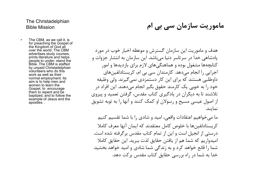# The Christadelphian

Fhe Christadelphian<br>• The CBM, as we call it, is<br>• The CBM, as we call it, is<br>• for preaching the Gospel of<br>the Kingdom of God all<br>• over the world. The CBM<br>• advertises study courses,<br>• prints literature and helps<br>• وات for preaching the Gospel of the Kingdom of God all over the world. The CBM advertises study courses, prints literature and helps<br>people to under-stand the Bible. The CBM is staffed by unpaid Christadelphian volunteers who do this work as well as their normal employment. Its aim is to help men and women to learn the Gospel, to encourage them to repent and be baptized, and to follow the example of Jesus and the apostles. .

ماموريت سازمان سي بي ام Mission Bible Mission Bible Mission

he Christadelphian<br>ible Mission<br>The CBM, as we call it, is<br>the Kingdom of God all<br>diverties study courses,<br>the Kingdom of God all<br>over the world. The CBM<br>prints literature and helps<br>prints literature and helps<br>people to u هدف و ماموريت اين سازمان گسترش و موعظه اخبار خوب در مورد پادشاهي خدا در سرتاسر دنيا مي باشد. اين سازمان به انتشار جزوات و كتابچه ها مشغول بوده و هماهنگي هاي لازم براي بازديدها و امور اجرايي را انجام مي دهد. كارمندان سي بي ام، كريستادلفين هاي داوطلبي هستند كه براي اين كار دستمزدي نمي گيرند. ولي وظيفه خود را به خوبي يك كارمند حقوق بگير انجام مي دهند. اين افراد در تلاشند تا به ديگران در يادگيري كتاب مقدس، گرفتن تعميد و پيروي از اصول عيسى مسيح و رسولان او كمک كنند و آنها را به توبه تشويق<br>نمايند.

> ما مي خواهيم اعتقادات واقعي، اميد و شادي را با شما تقسيم كنيم كريستادلفين ها با خلوص كامل معتقدند كه ايمان آنها معرف كاملا درستي از انجيل است و اين از تمام كتاب مقدس برگرفته شده است. اميدواريم كه شما هم از يافتن حقايق لذت ببريد. اين حقايق كاملا<br>شما را قانع خواهد كرد و به زندگي شما شادي و اميد خواهد بخشيد. خدا به شما در راه بررسي حقايق كتاب مقدس بركت دهد.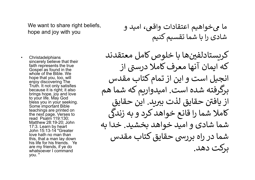We want to share right beliefs, hope and joy with you

و<br>
We want to share right beliefs,<br>
hope and joy with you<br>
the you<br>
christadelphians<br>
sincerely believe that their<br>
faith represents the true<br>
Gospel as found in the<br>
whole of the Bible. We<br>
and in the sincerely believe that their faith represents the true Gospel as found in the whole of the Bible. We hope that you, too, will enjoy discovering The Truth. It not only satisfies because it is right; it also brings hope, joy and love to your life. May God bless you in your seeking. Some important Bible teachings are printed on the next page. Verses to read Psalm 119:130; Matthew 28:19-20; John 17:3. Learn by heart John 15:13-14 "Greater love hath no man than this, that a man lay down his life for his friends. Ye are my friends, if ye do whatsoever I command you. "

ما ᣤ خواهᘮم اعتقادات واقᣙ، امᘮد و شادی را با شما تقسیم کنیم

کریستادلفینها با خلوص کامل معتقدند که ایمان آنها معرف کاملا درستی از انجᘮل است و این از تمام کتاب مقدس برگرفته شده است. امᘮدوارᗬم که شما هم از یافتن حقایق لذت ببرید. این حقایق کاملا شما را قانع خواهد کرد و به زندگی شما شادی و امید خواهد بخشید. خدا به شما در راه بررسی حقایق کتاب مقدس برکت دهد.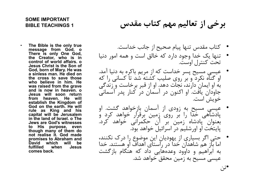### SOME IMPORTANT BIBLE TEACHINGS 1

- **OME IMPORTANT**<br>IBLE TEACHINGS 1<br>The Bible is the only true<br>There is only One God. o<br>There is only One God,<br>the Creator, who is in<br>Control of world affairs. o<br>Jesus Christ is the Son of<br>Jesus Christ is the Son of OME IMPORTANT<br>IBLE TEACHINGS 1<br>The Bible is the only true<br>message from God, o<br>There is only One God,<br>The Creator, who is in control of world affairs. o<br>Control of Mary, He was<br>Jesus Christ is the Son of<br>God, born of Mary, **OME IMPORTANT<br>IBLE TEACHINGS 1**<br>The Bible is the only true<br>message from God.<br>There is only One God,<br>There is only One God,<br>the Creator, who is in<br>clasus Christ is the Son of<br>Jesus Christ is the Son of<br>a sinless man. He d ome IMPORTANT<br>IBLE TEACHINGS 1<br>The Bible is the only true<br>message from God. o<br>There is only one God, one God, the Creator, who is in<br>the Creator, who is in<br>control of world affairs. o<br>Jesus Christ is the Son of<br>a sinless OME IMPORTANT<br>IBLE TEACHINGS 1<br>The Bible is the only true<br>The Son God. There is only One God.<br>There is only One God.<br>There is only One God.<br>The Creator, who is in<br>Jesus Christ is the Son of<br>Jesus Christ is the Son of<br>Son God, born of Mary. He gives it was readed to the state of the Bible is the only true<br>of Mary One God, or of God, the Creator, who is in<br>the Creator, who is in control of world affairs. o<br>control of world affairs. o<br>God, b a Sinle IMPORTANT<br>IBLE TEACHINGS 1<br>The Bible is the only true<br>message from God. o<br>There is only One God,<br>the Creator, who is in<br>control of world affairs. o<br>Jesus Chirst is the Son of<br>a sinless man. He died on<br>a sinless ma لام كتاب هقدس الله BLE TEACHINGS 1<br>The Bible is the only true<br>The Bible is the only true<br>There is only One God, one God, the Creator, who is in<br>the cross to swell affairs. o<br>Jesus Chirist is the Son of<br>Jesus Christ is the **OME IMPORTANT**<br>IBLE TEACHINGS 1<br>IBLE TEACHINGS 1<br>The Bible is the only true<br>message from God. 0<br>There is only One God,<br>Control of world affairs. 0<br>Cod, born of Mary. He was Chiral scheme is the Son of<br>desus Chiral film. **ME IMPORTANT**<br>IBLE TEACHINGS 1<br>IBLE TEACHINGS 1<br>The Bible is the only true<br>message from God. 0<br>There is only One God,<br>control of world affairs. 0<br>Cod, born of Mary. He was<br>clear to star is the Son of<br>a sinless man. He di **OME IMPORTANT**<br>IBLE TEACHINGS 1<br>IBLE TEACHINGS 1<br>The Bible is the only true<br>message from God. 0<br>There is only One God,<br>The creator, who is in control of world affairs. 0<br>control of word affairs. 0<br>control of word affairs **omE** IMPORTANT<br>IBLE TEACHINGS 1<br>IBLE TEACHINGS 1<br>The Bible is the only rrue<br>message from God. o<br>the Creator, who is in<br>the Creator, who is in<br>control of world affairs. o<br>control of world affairs. o<br>God, born of Mary. He **MARE TEACHINGS 1**<br>
IBLE TEACHINGS 1<br>
The Bible is the only true<br>
message from God. 0<br>
the Creator, who is in<br>
corrol of world affairs. 0<br>
control of world affairs. 0<br>
desus Christ is the Son of<br>
a sinless man. He died on IBLE TEACHINGS 1<br>
The Bible is the only true<br>
message from God. o<br>
There is only One God,<br>
the Creator, who is in<br>
corrector, who is in<br>
control of world affairs. o<br>
Jesus Christ is the Son of<br>
a sinless man. He died on<br> The Bible is the only true<br>
message from God. o<br>
There is only One God,<br>
the Creator, who is in<br>
the Creator, who is in<br>
control of world affairs. o<br>
desus Christ is the Son of<br>
God, born of Mary. He was<br>
a sinless man. H rhe Bible is the only true<br>
message from God. o<br>
the Creator, who is in<br>
corrol of world affairs. o<br>
control of world affairs. o<br>
desus Christ is the Son of<br>
desus Christ is the Son of<br>
a sinless man. He died on<br>
a sinles The Bible is the only true<br>
message from God. o<br>
There is only One God.<br>
There is only One God.<br>
the Creator, who is in<br>
control of world affairs. o<br>
Jesus Christ is the Gon of<br>
Jesus Christ is the Son of<br>
Jesus Christ is The Bible is the only true<br>
message from God. o<br>
There is only One God,<br>
the Creator, who is in<br>
the Creator, who is in<br>
control of world affairs. o<br>
control of world affairs. o<br>
God, born of Mary. He was<br>
a sinless man. بح از جانب خداست.<br>There is only one God.<br>There is only One God,<br>the Creator, who is in<br>control of world affairs. o<br>control of world affairs. o<br>Jesus Christ is the Son of<br>a sinlesse man. He died on<br>a sinlesse man. He died message from God.<br>There is only One God,<br>the Creator, who is in<br>control of world affairs.o<br>control of world affairs.o<br>control of world affairs.o<br>God, born of Mary. He was<br>a sinkes man. He died on<br>God, born of Mary. He was تارد که خالق است و همه امور دنیا<br>There is only One God, by and the Sontrol of world affairs. o<br>control of world affairs. o<br>God, born of Mary. He was<br>a sinless man. He died on<br>a sinless man. He died on<br>the cross to save th the Creator, who is in<br>
control of word affains. <br>
Jesus Christ is the Son of<br>
Jesus Christ is the Son of<br>
a sinkes man. He died on<br>
a sinkes man. He died on<br>
the cross to save those<br>
a sinkes in tim. He<br>
who believe in l control of world affairs. o<br>
Jesus Christ is the Son of Mary. He was<br>
a sinless man. He died on<br>
a sinless man. He died on<br>
who believe in him. He<br>
who believe in him. He<br>
who believe in him. He<br>
who believe in him. He<br>
w Cod, born of Mary. He was<br>
a sinless man. He died on<br>
a sinless man. He died on<br>
the cross to save those<br>
who believe in him. He<br>
was raised from the grave<br>
who believe in him. He<br>
was raised from the grave<br>
was raised f ت که از مريم باکره به دنيا آمد.<br>
a sinless man. He died on<br>
a sinless man. He died on<br>
who believe in him. He<br>
was raised from the grave.<br>
outh a since the grave of the grave of the costs to save those<br>
who believe in him a sinless man. He died on<br>the cross to save those those who believe in him. He<br>was raised from the grave<br>was raised from the grave  $\frac{1}{2}$ ,  $\frac{1}{2}$ ,  $\frac{1}{2}$ ,  $\frac{1}{2}$ ,  $\frac{1}{2}$ ,  $\frac{1}{2}$ ,  $\frac{1}{2}$ ,  $\frac{1}{2}$ ,  $\$ 
	- كتاب مقدس تنها پيام صحيح از جانب خداست.
- **برخي از تعاليم مهم كتاب مقدس**<br>BIBLE TEACHINGS 1<br>• كتاب مقدس تنها پيام صحيح از جانب خداست.<br>• تنها يک خدا وجود دارد که خالق است و همه امور دنيا<br>• تنها يک خدا وجود دارد که خالق است و همه امور دنيا<br>• متعت کنترل اوست.<br>• تحت ک • تنها يك خدا وجود دارد كه خالق است و همه امور دنيا تحت كنترل اوست.
	- عيسي مسيح پسر خداست كه از مريم باكره به دنيا آمد. او گناه نكرد و بر روي صليب كشته شد تا كساني را كه به او ايمان دارند، نجات دهد. او از قبر برخاست و زندگي جاودان يافت. او اكنون در آسمان در كنار پدر آسماني خويش است.
	- عيسي مسيح به زودي از آسمان باز خواهد گشت. او پادشاهي خدا را بر روي زمين برقرار خواهد كرد و بعنوان پادشاه زمين بر آن حكمراني خواهد كرد.<br>پايتخت او اورشليم در اسرائيل خواهد بود.
	- حتي اگر بسياري از يهوديان اين موضوع را درك نكنند، اما باز هم شاهدان خدا در راستاي اهداف او هستند. خدا به ابراهيم و داوود وعدههايي داد كه هنگام بازگشت<br>عيسي مسيح به زمين محقق خواهد شد. •تن